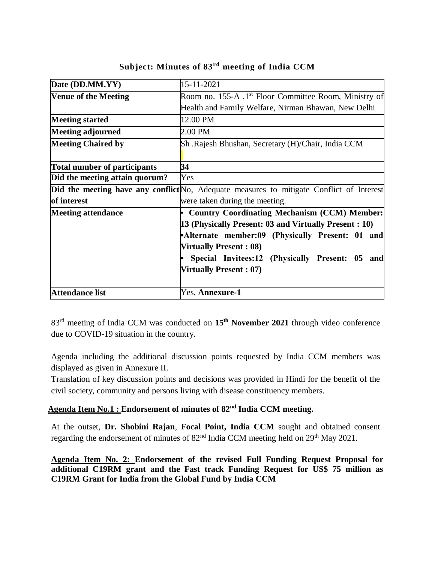| Date (DD.MM.YY)                     | 15-11-2021                                                                               |  |  |
|-------------------------------------|------------------------------------------------------------------------------------------|--|--|
| <b>Venue of the Meeting</b>         | Room no. 155-A , 1 <sup>st</sup> Floor Committee Room, Ministry of                       |  |  |
|                                     | Health and Family Welfare, Nirman Bhawan, New Delhi                                      |  |  |
| <b>Meeting started</b>              | 12.00 PM                                                                                 |  |  |
| <b>Meeting adjourned</b>            | 2.00 PM                                                                                  |  |  |
| <b>Meeting Chaired by</b>           | Sh .Rajesh Bhushan, Secretary (H)/Chair, India CCM                                       |  |  |
|                                     |                                                                                          |  |  |
| <b>Total number of participants</b> | 34                                                                                       |  |  |
| Did the meeting attain quorum?      | Yes                                                                                      |  |  |
|                                     | Did the meeting have any conflict No, Adequate measures to mitigate Conflict of Interest |  |  |
| of interest                         | were taken during the meeting.                                                           |  |  |
| <b>Meeting attendance</b>           | • Country Coordinating Mechanism (CCM) Member:                                           |  |  |
|                                     | 13 (Physically Present: 03 and Virtually Present : 10)                                   |  |  |
|                                     | Alternate member:09 (Physically Present: 01 and                                          |  |  |
|                                     | <b>Virtually Present: 08)</b>                                                            |  |  |
|                                     | Special Invitees:12 (Physically Present: 05<br>and                                       |  |  |
|                                     | <b>Virtually Present: 07)</b>                                                            |  |  |
|                                     |                                                                                          |  |  |
| <b>Attendance list</b>              | Yes, Annexure-1                                                                          |  |  |

**Subject: Minutes of 83rd meeting of India CCM**

83rd meeting of India CCM was conducted on **15th November 2021** through video conference due to COVID-19 situation in the country.

Agenda including the additional discussion points requested by India CCM members was displayed as given in Annexure II.

Translation of key discussion points and decisions was provided in Hindi for the benefit of the civil society, community and persons living with disease constituency members.

# **Agenda Item No.1 : Endorsement of minutes of 82nd India CCM meeting.**

At the outset, **Dr. Shobini Rajan**, **Focal Point, India CCM** sought and obtained consent regarding the endorsement of minutes of  $82<sup>nd</sup>$  India CCM meeting held on  $29<sup>th</sup>$  May 2021.

**Agenda Item No. 2: Endorsement of the revised Full Funding Request Proposal for additional C19RM grant and the Fast track Funding Request for US\$ 75 million as C19RM Grant for India from the Global Fund by India CCM**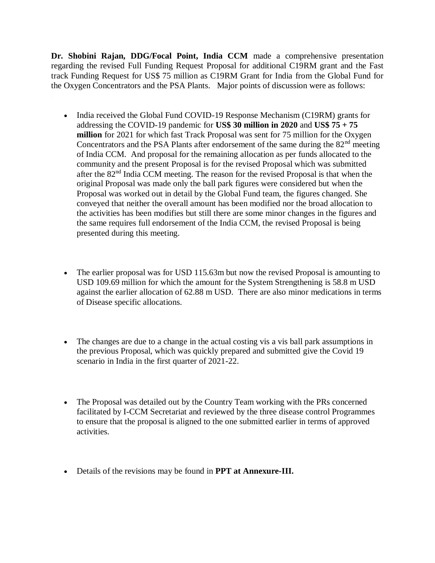**Dr. Shobini Rajan, DDG/Focal Point, India CCM** made a comprehensive presentation regarding the revised Full Funding Request Proposal for additional C19RM grant and the Fast track Funding Request for US\$ 75 million as C19RM Grant for India from the Global Fund for the Oxygen Concentrators and the PSA Plants. Major points of discussion were as follows:

- India received the Global Fund COVID-19 Response Mechanism (C19RM) grants for addressing the COVID-19 pandemic for **US\$ 30 million in 2020** and **US\$ 75 + 75 million** for 2021 for which fast Track Proposal was sent for 75 million for the Oxygen Concentrators and the PSA Plants after endorsement of the same during the  $82<sup>nd</sup>$  meeting of India CCM. And proposal for the remaining allocation as per funds allocated to the community and the present Proposal is for the revised Proposal which was submitted after the 82nd India CCM meeting. The reason for the revised Proposal is that when the original Proposal was made only the ball park figures were considered but when the Proposal was worked out in detail by the Global Fund team, the figures changed. She conveyed that neither the overall amount has been modified nor the broad allocation to the activities has been modifies but still there are some minor changes in the figures and the same requires full endorsement of the India CCM, the revised Proposal is being presented during this meeting.
- The earlier proposal was for USD 115.63m but now the revised Proposal is amounting to USD 109.69 million for which the amount for the System Strengthening is 58.8 m USD against the earlier allocation of 62.88 m USD. There are also minor medications in terms of Disease specific allocations.
- The changes are due to a change in the actual costing vis a vis ball park assumptions in the previous Proposal, which was quickly prepared and submitted give the Covid 19 scenario in India in the first quarter of 2021-22.
- The Proposal was detailed out by the Country Team working with the PRs concerned facilitated by I-CCM Secretariat and reviewed by the three disease control Programmes to ensure that the proposal is aligned to the one submitted earlier in terms of approved activities.
- Details of the revisions may be found in **PPT at Annexure-III.**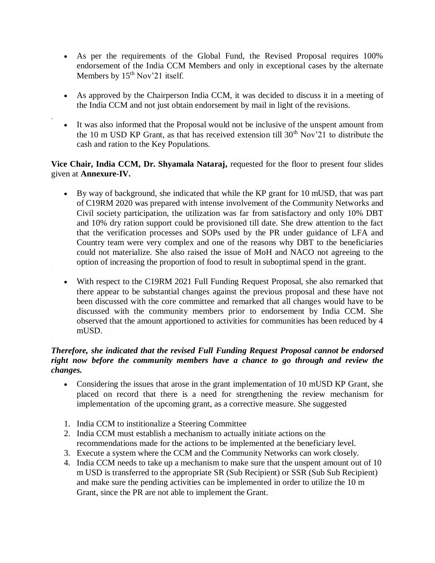- As per the requirements of the Global Fund, the Revised Proposal requires 100% endorsement of the India CCM Members and only in exceptional cases by the alternate Members by 15<sup>th</sup> Nov'21 itself.
- As approved by the Chairperson India CCM, it was decided to discuss it in a meeting of the India CCM and not just obtain endorsement by mail in light of the revisions.
- It was also informed that the Proposal would not be inclusive of the unspent amount from the 10 m USD KP Grant, as that has received extension till  $30<sup>th</sup>$  Nov'21 to distribute the cash and ration to the Key Populations.

## **Vice Chair, India CCM, Dr. Shyamala Nataraj,** requested for the floor to present four slides given at **Annexure-IV.**

- By way of background, she indicated that while the KP grant for 10 mUSD, that was part of C19RM 2020 was prepared with intense involvement of the Community Networks and Civil society participation, the utilization was far from satisfactory and only 10% DBT and 10% dry ration support could be provisioned till date. She drew attention to the fact that the verification processes and SOPs used by the PR under guidance of LFA and Country team were very complex and one of the reasons why DBT to the beneficiaries could not materialize. She also raised the issue of MoH and NACO not agreeing to the option of increasing the proportion of food to result in suboptimal spend in the grant.
- With respect to the C19RM 2021 Full Funding Request Proposal, she also remarked that there appear to be substantial changes against the previous proposal and these have not been discussed with the core committee and remarked that all changes would have to be discussed with the community members prior to endorsement by India CCM. She observed that the amount apportioned to activities for communities has been reduced by 4 mUSD.

## *Therefore, she indicated that the revised Full Funding Request Proposal cannot be endorsed right now before the community members have a chance to go through and review the changes.*

- Considering the issues that arose in the grant implementation of 10 mUSD KP Grant, she placed on record that there is a need for strengthening the review mechanism for implementation of the upcoming grant, as a corrective measure. She suggested
- 1. India CCM to institionalize a Steering Committee
- 2. India CCM must establish a mechanism to actually initiate actions on the recommendations made for the actions to be implemented at the beneficiary level.
- 3. Execute a system where the CCM and the Community Networks can work closely.
- 4. India CCM needs to take up a mechanism to make sure that the unspent amount out of 10 m USD is transferred to the appropriate SR (Sub Recipient) or SSR (Sub Sub Recipient) and make sure the pending activities can be implemented in order to utilize the 10 m Grant, since the PR are not able to implement the Grant.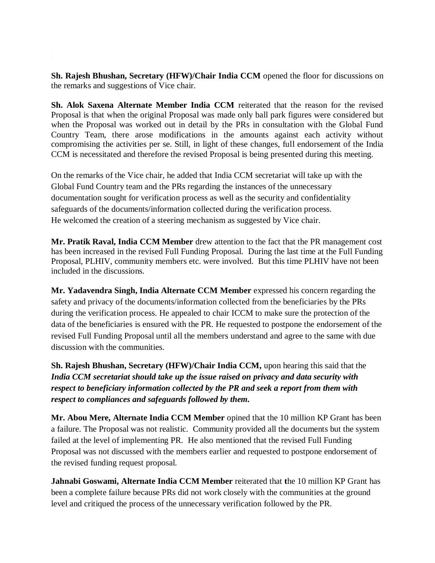**Sh. Rajesh Bhushan, Secretary (HFW)/Chair India CCM** opened the floor for discussions on the remarks and suggestions of Vice chair.

**Sh. Alok Saxena Alternate Member India CCM** reiterated that the reason for the revised Proposal is that when the original Proposal was made only ball park figures were considered but when the Proposal was worked out in detail by the PRs in consultation with the Global Fund Country Team, there arose modifications in the amounts against each activity without compromising the activities per se. Still, in light of these changes, full endorsement of the India CCM is necessitated and therefore the revised Proposal is being presented during this meeting.

On the remarks of the Vice chair, he added that India CCM secretariat will take up with the Global Fund Country team and the PRs regarding the instances of the unnecessary documentation sought for verification process as well as the security and confidentiality safeguards of the documents/information collected during the verification process. He welcomed the creation of a steering mechanism as suggested by Vice chair.

**Mr. Pratik Raval, India CCM Member** drew attention to the fact that the PR management cost has been increased in the revised Full Funding Proposal. During the last time at the Full Funding Proposal, PLHIV, community members etc. were involved. But this time PLHIV have not been included in the discussions.

**Mr. Yadavendra Singh, India Alternate CCM Member** expressed his concern regarding the safety and privacy of the documents/information collected from the beneficiaries by the PRs during the verification process. He appealed to chair ICCM to make sure the protection of the data of the beneficiaries is ensured with the PR. He requested to postpone the endorsement of the revised Full Funding Proposal until all the members understand and agree to the same with due discussion with the communities.

**Sh. Rajesh Bhushan, Secretary (HFW)/Chair India CCM,** upon hearing this said that the *India CCM secretariat should take up the issue raised on privacy and data security with respect to beneficiary information collected by the PR and seek a report from them with respect to compliances and safeguards followed by them.*

**Mr. Abou Mere, Alternate India CCM Member** opined that the 10 million KP Grant has been a failure. The Proposal was not realistic. Community provided all the documents but the system failed at the level of implementing PR. He also mentioned that the revised Full Funding Proposal was not discussed with the members earlier and requested to postpone endorsement of the revised funding request proposal.

**Jahnabi Goswami, Alternate India CCM Member** reiterated that **t**he 10 million KP Grant has been a complete failure because PRs did not work closely with the communities at the ground level and critiqued the process of the unnecessary verification followed by the PR.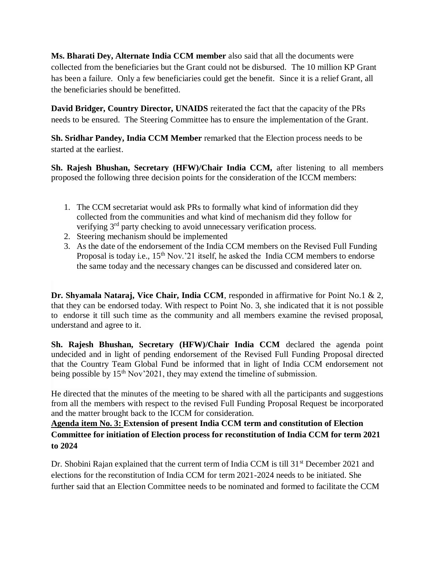**Ms. Bharati Dey, Alternate India CCM member** also said that all the documents were collected from the beneficiaries but the Grant could not be disbursed. The 10 million KP Grant has been a failure. Only a few beneficiaries could get the benefit. Since it is a relief Grant, all the beneficiaries should be benefitted.

**David Bridger, Country Director, UNAIDS** reiterated the fact that the capacity of the PRs needs to be ensured. The Steering Committee has to ensure the implementation of the Grant.

**Sh. Sridhar Pandey, India CCM Member** remarked that the Election process needs to be started at the earliest.

**Sh. Rajesh Bhushan, Secretary (HFW)/Chair India CCM,** after listening to all members proposed the following three decision points for the consideration of the ICCM members:

- 1. The CCM secretariat would ask PRs to formally what kind of information did they collected from the communities and what kind of mechanism did they follow for verifying 3<sup>rd</sup> party checking to avoid unnecessary verification process.
- 2. Steering mechanism should be implemented
- 3. As the date of the endorsement of the India CCM members on the Revised Full Funding Proposal is today i.e.,  $15^{th}$  Nov.'21 itself, he asked the India CCM members to endorse the same today and the necessary changes can be discussed and considered later on.

**Dr. Shyamala Nataraj, Vice Chair, India CCM**, responded in affirmative for Point No.1 & 2, that they can be endorsed today. With respect to Point No. 3, she indicated that it is not possible to endorse it till such time as the community and all members examine the revised proposal, understand and agree to it.

**Sh. Rajesh Bhushan, Secretary (HFW)/Chair India CCM** declared the agenda point undecided and in light of pending endorsement of the Revised Full Funding Proposal directed that the Country Team Global Fund be informed that in light of India CCM endorsement not being possible by  $15<sup>th</sup> Nov'2021$ , they may extend the timeline of submission.

He directed that the minutes of the meeting to be shared with all the participants and suggestions from all the members with respect to the revised Full Funding Proposal Request be incorporated and the matter brought back to the ICCM for consideration.

**Agenda item No. 3: Extension of present India CCM term and constitution of Election Committee for initiation of Election process for reconstitution of India CCM for term 2021 to 2024** 

Dr. Shobini Rajan explained that the current term of India CCM is till 31<sup>st</sup> December 2021 and elections for the reconstitution of India CCM for term 2021-2024 needs to be initiated. She further said that an Election Committee needs to be nominated and formed to facilitate the CCM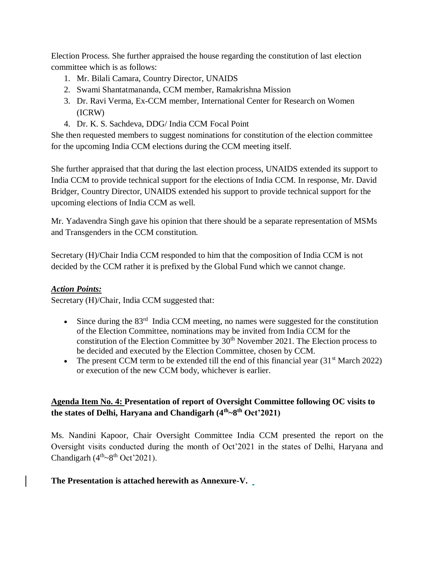Election Process. She further appraised the house regarding the constitution of last election committee which is as follows:

- 1. Mr. Bilali Camara, Country Director, UNAIDS
- 2. Swami Shantatmananda, CCM member, Ramakrishna Mission
- 3. Dr. Ravi Verma, Ex-CCM member, International Center for Research on Women (ICRW)
- 4. Dr. K. S. Sachdeva, DDG/ India CCM Focal Point

She then requested members to suggest nominations for constitution of the election committee for the upcoming India CCM elections during the CCM meeting itself.

She further appraised that that during the last election process, UNAIDS extended its support to India CCM to provide technical support for the elections of India CCM. In response, Mr. David Bridger, Country Director, UNAIDS extended his support to provide technical support for the upcoming elections of India CCM as well.

Mr. Yadavendra Singh gave his opinion that there should be a separate representation of MSMs and Transgenders in the CCM constitution.

Secretary (H)/Chair India CCM responded to him that the composition of India CCM is not decided by the CCM rather it is prefixed by the Global Fund which we cannot change.

## *Action Points:*

Secretary (H)/Chair, India CCM suggested that:

- Since during the 83<sup>rd</sup> India CCM meeting, no names were suggested for the constitution of the Election Committee, nominations may be invited from India CCM for the constitution of the Election Committee by  $30<sup>th</sup>$  November 2021. The Election process to be decided and executed by the Election Committee, chosen by CCM.
- The present CCM term to be extended till the end of this financial year  $(31<sup>st</sup> March 2022)$ or execution of the new CCM body, whichever is earlier.

## **Agenda Item No. 4: Presentation of report of Oversight Committee following OC visits to the states of Delhi, Haryana and Chandigarh (4th~8th Oct'2021)**

Ms. Nandini Kapoor, Chair Oversight Committee India CCM presented the report on the Oversight visits conducted during the month of Oct'2021 in the states of Delhi, Haryana and Chandigarh  $(4<sup>th</sup>~8<sup>th</sup> Oct'2021)$ .

## **The Presentation is attached herewith as Annexure-V.**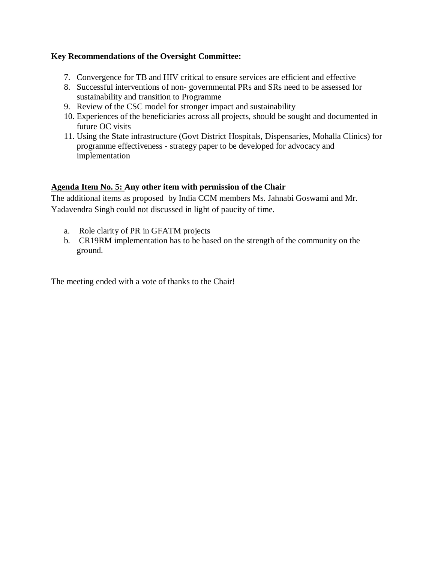## **Key Recommendations of the Oversight Committee:**

- 7. Convergence for TB and HIV critical to ensure services are efficient and effective
- 8. Successful interventions of non- governmental PRs and SRs need to be assessed for sustainability and transition to Programme
- 9. Review of the CSC model for stronger impact and sustainability
- 10. Experiences of the beneficiaries across all projects, should be sought and documented in future OC visits
- 11. Using the State infrastructure (Govt District Hospitals, Dispensaries, Mohalla Clinics) for programme effectiveness - strategy paper to be developed for advocacy and implementation

## **Agenda Item No. 5: Any other item with permission of the Chair**

The additional items as proposed by India CCM members Ms. Jahnabi Goswami and Mr. Yadavendra Singh could not discussed in light of paucity of time.

- a. Role clarity of PR in GFATM projects
- b. CR19RM implementation has to be based on the strength of the community on the ground.

The meeting ended with a vote of thanks to the Chair!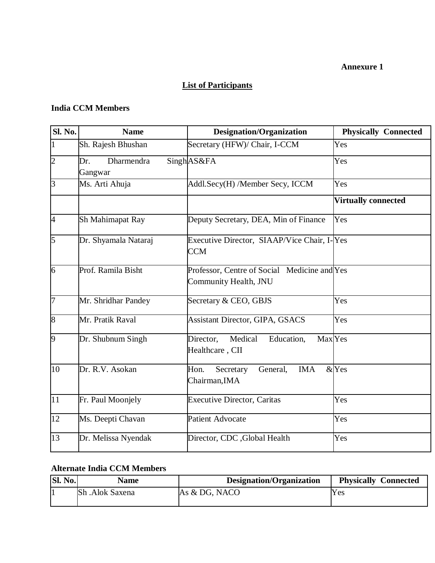#### **Annexure 1**

# **List of Participants**

## **India CCM Members**

| <b>Sl. No.</b>  | <b>Name</b>                  | <b>Designation/Organization</b>                                             | <b>Physically Connected</b> |
|-----------------|------------------------------|-----------------------------------------------------------------------------|-----------------------------|
| $\mathbf{1}$    | Sh. Rajesh Bhushan           | Secretary (HFW)/ Chair, I-CCM                                               | Yes                         |
| $\overline{2}$  | Dharmendra<br>Dr.<br>Gangwar | SinghAS&FA                                                                  | Yes                         |
| $\overline{3}$  | Ms. Arti Ahuja               | Addl.Secy(H) /Member Secy, ICCM                                             | Yes                         |
|                 |                              |                                                                             | <b>Virtually connected</b>  |
| <sup>4</sup>    | Sh Mahimapat Ray             | Deputy Secretary, DEA, Min of Finance                                       | Yes                         |
| $\overline{5}$  | Dr. Shyamala Nataraj         | Executive Director, SIAAP/Vice Chair, I-Yes<br><b>CCM</b>                   |                             |
| 6               | Prof. Ramila Bisht           | Professor, Centre of Social Medicine and Yes<br>Community Health, JNU       |                             |
| $\overline{7}$  | Mr. Shridhar Pandey          | Secretary & CEO, GBJS                                                       | Yes                         |
| $\overline{8}$  | Mr. Pratik Raval             | <b>Assistant Director, GIPA, GSACS</b>                                      | Yes                         |
| $\vert 9 \vert$ | Dr. Shubnum Singh            | Medical<br>Max <sub>Yes</sub><br>Director,<br>Education,<br>Healthcare, CII |                             |
| $\overline{10}$ | Dr. R.V. Asokan              | Secretary<br><b>IMA</b><br>Hon.<br>General,<br>Chairman, IMA                | $&$ Yes                     |
| 11              | Fr. Paul Moonjely            | Executive Director, Caritas                                                 | Yes                         |
| 12              | Ms. Deepti Chavan            | <b>Patient Advocate</b>                                                     | Yes                         |
| 13              | Dr. Melissa Nyendak          | Director, CDC , Global Health                                               | Yes                         |

# **Alternate India CCM Members**

| Sl. No. | <b>Name</b>     | Designation/Organization | <b>Physically Connected</b> |
|---------|-----------------|--------------------------|-----------------------------|
|         | Sh .Alok Saxena | As & DG, NACO            | Yes                         |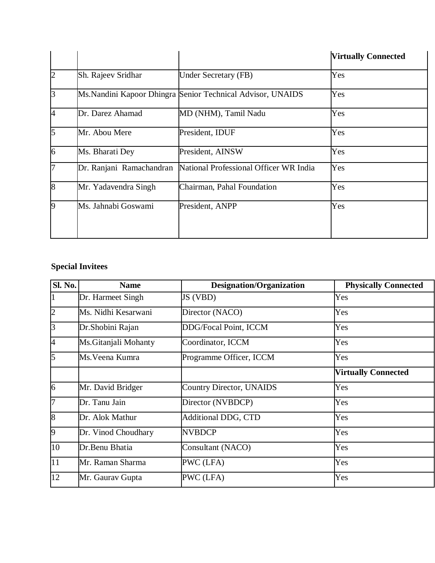|                |                          |                                                             | <b>Virtually Connected</b> |
|----------------|--------------------------|-------------------------------------------------------------|----------------------------|
| $\vert$ 2      | Sh. Rajeev Sridhar       | <b>Under Secretary (FB)</b>                                 | Yes                        |
| $\overline{3}$ |                          | Ms. Nandini Kapoor Dhingra Senior Technical Advisor, UNAIDS | Yes                        |
| <sup>4</sup>   | Dr. Darez Ahamad         | MD (NHM), Tamil Nadu                                        | Yes                        |
| $\overline{5}$ | Mr. Abou Mere            | President, IDUF                                             | Yes                        |
| $\overline{6}$ | Ms. Bharati Dey          | President, AINSW                                            | Yes                        |
| 7              | Dr. Ranjani Ramachandran | National Professional Officer WR India                      | Yes                        |
| $\overline{8}$ | Mr. Yadavendra Singh     | Chairman, Pahal Foundation                                  | Yes                        |
| 19             | Ms. Jahnabi Goswami      | President, ANPP                                             | Yes                        |

# **Special Invitees**

| Sl. No.         | <b>Name</b>           | <b>Designation/Organization</b> | <b>Physically Connected</b> |
|-----------------|-----------------------|---------------------------------|-----------------------------|
|                 | Dr. Harmeet Singh     | JS (VBD)                        | Yes                         |
| $\overline{2}$  | Ms. Nidhi Kesarwani   | Director (NACO)                 | Yes                         |
| $\vert$ 3       | Dr. Shobini Rajan     | DDG/Focal Point, ICCM           | Yes                         |
| 4               | Ms. Gitanjali Mohanty | Coordinator, ICCM               | Yes                         |
| 5               | Ms. Veena Kumra       | Programme Officer, ICCM         | Yes                         |
|                 |                       |                                 | <b>Virtually Connected</b>  |
| 6               | Mr. David Bridger     | <b>Country Director, UNAIDS</b> | Yes                         |
| l7              | Dr. Tanu Jain         | Director (NVBDCP)               | Yes                         |
| $\sqrt{8}$      | Dr. Alok Mathur       | <b>Additional DDG, CTD</b>      | Yes                         |
| $\vert 9 \vert$ | Dr. Vinod Choudhary   | <b>NVBDCP</b>                   | Yes                         |
| 10              | Dr.Benu Bhatia        | Consultant (NACO)               | Yes                         |
| 11              | Mr. Raman Sharma      | PWC (LFA)                       | Yes                         |
| 12              | Mr. Gaurav Gupta      | PWC (LFA)                       | Yes                         |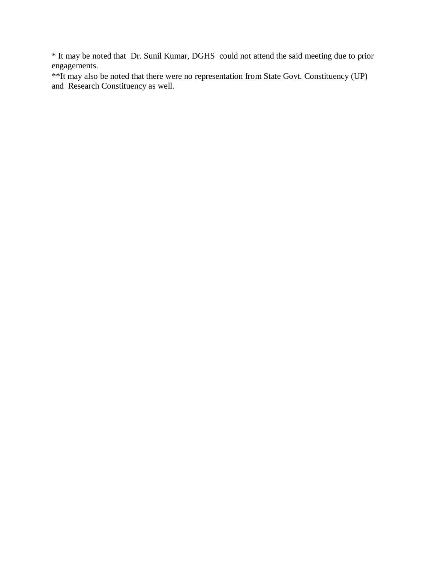\* It may be noted that Dr. Sunil Kumar, DGHS could not attend the said meeting due to prior engagements.

\*\*It may also be noted that there were no representation from State Govt. Constituency (UP) and Research Constituency as well.